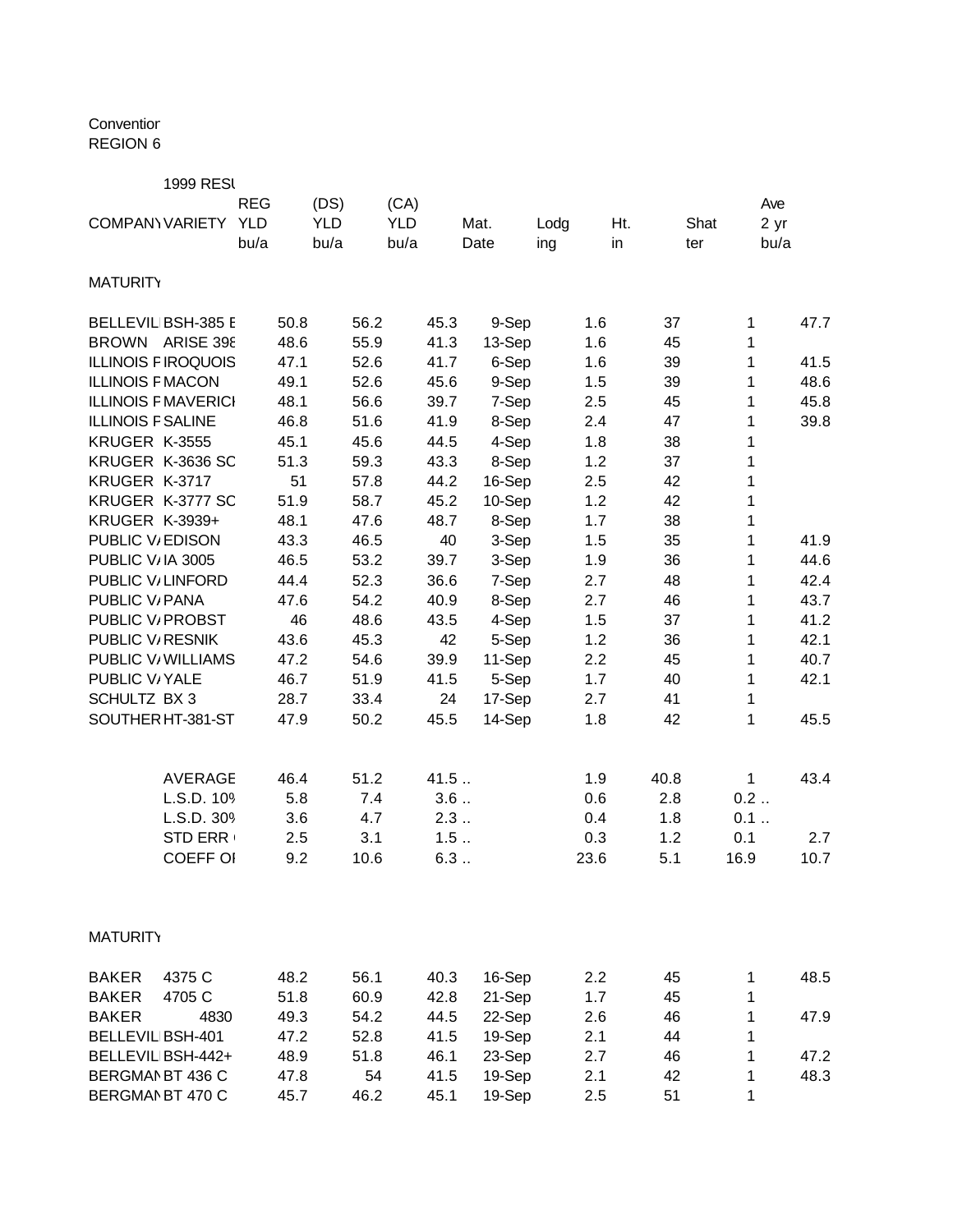## Conventior REGION 6

|                              | <b>1999 RESI</b>           |            |      |            |      |            |      |        |      |      |      |              |      |
|------------------------------|----------------------------|------------|------|------------|------|------------|------|--------|------|------|------|--------------|------|
|                              |                            | <b>REG</b> |      | (DS)       |      | (CA)       |      |        |      |      |      |              | Ave  |
|                              | <b>COMPANY VARIETY</b>     | <b>YLD</b> |      | <b>YLD</b> |      | <b>YLD</b> |      | Mat.   | Lodg | Ht.  |      | Shat         | 2 yr |
|                              |                            | bu/a       |      | bu/a       |      | bu/a       |      | Date   | ing  | in   | ter  |              | bu/a |
| <b>MATURITY</b>              |                            |            |      |            |      |            |      |        |      |      |      |              |      |
|                              | <b>BELLEVIL BSH-385 E</b>  |            | 50.8 |            | 56.2 |            | 45.3 | 9-Sep  |      | 1.6  | 37   | 1            | 47.7 |
| <b>BROWN</b>                 | <b>ARISE 398</b>           |            | 48.6 |            | 55.9 |            | 41.3 | 13-Sep |      | 1.6  | 45   | 1            |      |
|                              | <b>ILLINOIS FIROQUOIS</b>  |            | 47.1 |            | 52.6 |            | 41.7 | 6-Sep  |      | 1.6  | 39   | 1            | 41.5 |
| <b>ILLINOIS F MACON</b>      |                            |            | 49.1 |            | 52.6 |            | 45.6 | 9-Sep  |      | 1.5  | 39   | 1            | 48.6 |
|                              | <b>ILLINOIS F MAVERICI</b> |            | 48.1 |            | 56.6 |            | 39.7 | 7-Sep  |      | 2.5  | 45   | 1            | 45.8 |
| <b>ILLINOIS F SALINE</b>     |                            |            | 46.8 |            | 51.6 |            | 41.9 | 8-Sep  |      | 2.4  | 47   | 1            | 39.8 |
| KRUGER K-3555                |                            |            | 45.1 |            | 45.6 |            | 44.5 | 4-Sep  |      | 1.8  | 38   | 1            |      |
|                              | KRUGER K-3636 SC           |            | 51.3 |            | 59.3 |            | 43.3 | 8-Sep  |      | 1.2  | 37   | 1            |      |
| KRUGER K-3717                |                            |            | 51   |            | 57.8 |            | 44.2 | 16-Sep |      | 2.5  | 42   | 1            |      |
|                              | KRUGER K-3777 SC           |            | 51.9 |            | 58.7 |            | 45.2 | 10-Sep |      | 1.2  | 42   | 1            |      |
| <b>KRUGER K-3939+</b>        |                            |            | 48.1 |            | 47.6 |            | 48.7 | 8-Sep  |      | 1.7  | 38   | 1            |      |
| PUBLIC V/EDISON              |                            |            | 43.3 |            | 46.5 |            | 40   | 3-Sep  |      | 1.5  | 35   | 1            | 41.9 |
| PUBLIC V/IA 3005             |                            |            | 46.5 |            | 53.2 |            | 39.7 | 3-Sep  |      | 1.9  | 36   | 1            | 44.6 |
| PUBLIC V/LINFORD             |                            |            | 44.4 |            | 52.3 |            | 36.6 | 7-Sep  |      | 2.7  | 48   | 1            | 42.4 |
| PUBLIC V/ PANA               |                            |            | 47.6 |            | 54.2 |            | 40.9 | 8-Sep  |      | 2.7  | 46   | 1            | 43.7 |
| PUBLIC V <sub>/</sub> PROBST |                            |            | 46   |            | 48.6 |            | 43.5 | 4-Sep  |      | 1.5  | 37   | 1            | 41.2 |
| PUBLIC V <sub>RESNIK</sub>   |                            |            | 43.6 |            | 45.3 |            | 42   | 5-Sep  |      | 1.2  | 36   | 1            | 42.1 |
|                              | PUBLIC V/ WILLIAMS         |            | 47.2 |            | 54.6 |            | 39.9 | 11-Sep |      | 2.2  | 45   | 1            | 40.7 |
| PUBLIC V/YALE                |                            |            | 46.7 |            | 51.9 |            | 41.5 | 5-Sep  |      | 1.7  | 40   | 1            | 42.1 |
| SCHULTZ BX 3                 |                            |            | 28.7 |            | 33.4 |            | 24   | 17-Sep |      | 2.7  | 41   | 1            |      |
|                              | SOUTHER HT-381-ST          |            | 47.9 |            | 50.2 |            | 45.5 | 14-Sep |      | 1.8  | 42   | 1            | 45.5 |
|                              | <b>AVERAGE</b>             |            | 46.4 |            | 51.2 |            | 41.5 |        |      | 1.9  | 40.8 | $\mathbf{1}$ | 43.4 |
|                              | L.S.D. 109                 |            | 5.8  |            | 7.4  |            | 3.6  |        |      | 0.6  | 2.8  | 0.2          |      |
|                              | L.S.D. 309                 |            | 3.6  |            | 4.7  |            | 2.3  |        |      | 0.4  | 1.8  | 0.1          |      |
|                              | <b>STD ERR</b>             |            | 2.5  |            | 3.1  |            | 1.5  |        |      | 0.3  | 1.2  | 0.1          | 2.7  |
|                              | <b>COEFF OI</b>            |            | 9.2  |            | 10.6 |            | 6.3  |        |      | 23.6 | 5.1  | 16.9         | 10.7 |
| <b>MATURITY</b>              |                            |            |      |            |      |            |      |        |      |      |      |              |      |
|                              |                            |            |      |            |      |            |      |        |      |      |      |              |      |
| <b>BAKER</b>                 | 4375 C                     |            | 48.2 |            | 56.1 |            | 40.3 | 16-Sep |      | 2.2  | 45   | 1            | 48.5 |
| <b>BAKER</b>                 | 4705 C                     |            | 51.8 |            | 60.9 |            | 42.8 | 21-Sep |      | 1.7  | 45   | 1            |      |
| <b>BAKER</b>                 | 4830                       |            | 49.3 |            | 54.2 |            | 44.5 | 22-Sep |      | 2.6  | 46   | 1            | 47.9 |
| <b>BELLEVIL BSH-401</b>      |                            |            | 47.2 |            | 52.8 |            | 41.5 | 19-Sep |      | 2.1  | 44   | 1            |      |
|                              | BELLEVIL BSH-442+          |            | 48.9 |            | 51.8 |            | 46.1 | 23-Sep |      | 2.7  | 46   | 1            | 47.2 |
| BERGMAN BT 436 C             |                            |            | 47.8 |            | 54   |            | 41.5 | 19-Sep |      | 2.1  | 42   | 1            | 48.3 |
| BERGMAN BT 470 C             |                            |            | 45.7 |            | 46.2 |            | 45.1 | 19-Sep |      | 2.5  | 51   | 1            |      |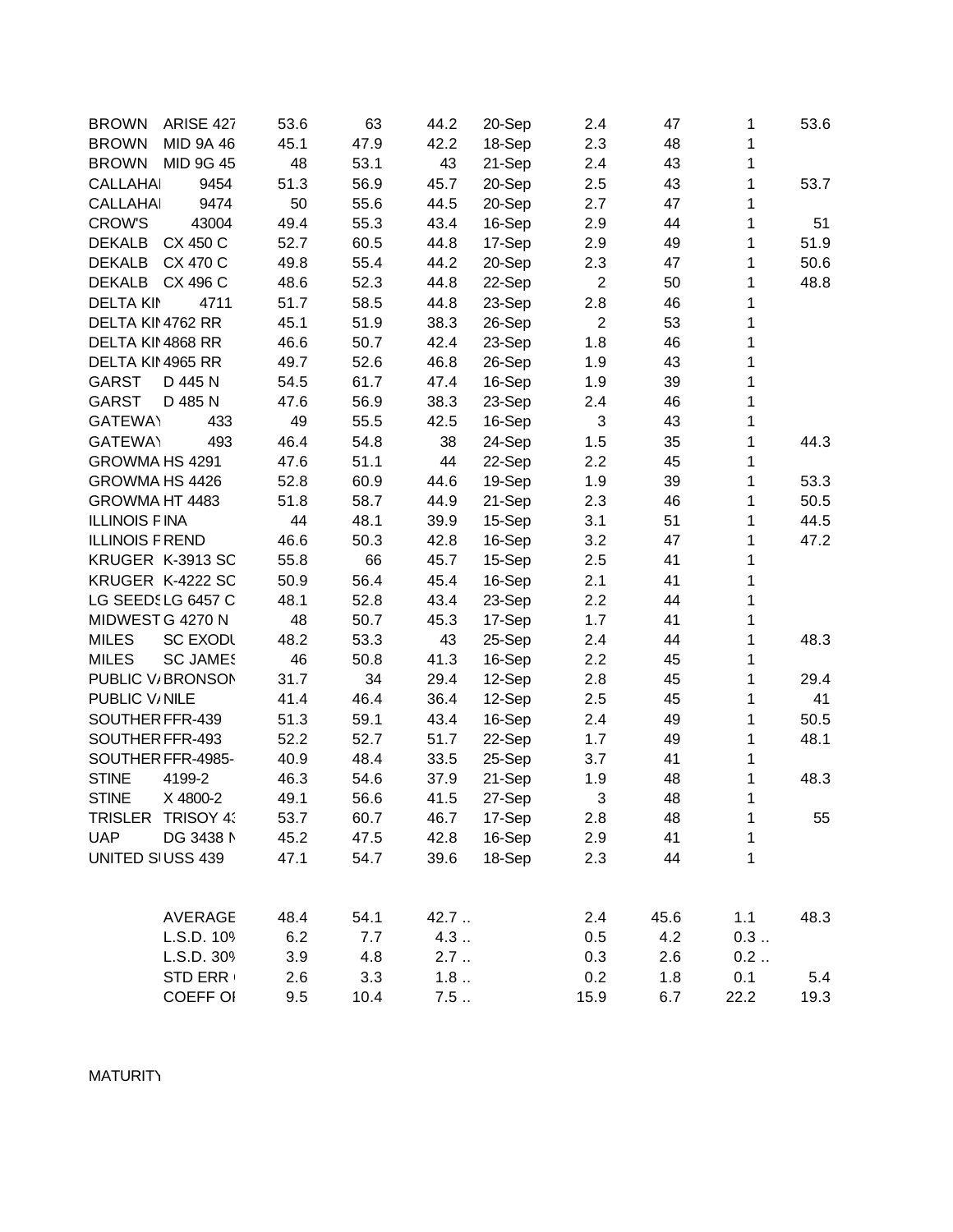| <b>BROWN</b>           | ARISE 427       | 53.6 | 63   | 44.2 | 20-Sep | 2.4              | 47   | 1            | 53.6 |
|------------------------|-----------------|------|------|------|--------|------------------|------|--------------|------|
| <b>BROWN</b>           | MID 9A 46       | 45.1 | 47.9 | 42.2 | 18-Sep | 2.3              | 48   | 1            |      |
| <b>BROWN</b>           | MID 9G 45       | 48   | 53.1 | 43   | 21-Sep | 2.4              | 43   | 1            |      |
| <b>CALLAHAI</b>        | 9454            | 51.3 | 56.9 | 45.7 | 20-Sep | 2.5              | 43   | 1            | 53.7 |
| <b>CALLAHAI</b>        | 9474            | 50   | 55.6 | 44.5 | 20-Sep | 2.7              | 47   | 1            |      |
| <b>CROW'S</b>          | 43004           | 49.4 | 55.3 | 43.4 | 16-Sep | 2.9              | 44   | 1            | 51   |
| DEKALB CX 450 C        |                 | 52.7 | 60.5 | 44.8 | 17-Sep | 2.9              | 49   | 1            | 51.9 |
| DEKALB CX 470 C        |                 | 49.8 | 55.4 | 44.2 | 20-Sep | 2.3              | 47   | 1            | 50.6 |
| DEKALB CX 496 C        |                 | 48.6 | 52.3 | 44.8 | 22-Sep | $\overline{2}$   | 50   | 1            | 48.8 |
| <b>DELTA KIN</b>       | 4711            | 51.7 | 58.5 | 44.8 | 23-Sep | 2.8              | 46   | 1            |      |
| DELTA KII 4762 RR      |                 | 45.1 | 51.9 | 38.3 | 26-Sep | $\boldsymbol{2}$ | 53   | 1            |      |
| DELTA KII 4868 RR      |                 | 46.6 | 50.7 | 42.4 | 23-Sep | 1.8              | 46   | 1            |      |
| DELTA KII 4965 RR      |                 | 49.7 | 52.6 | 46.8 | 26-Sep | 1.9              | 43   | 1            |      |
| <b>GARST</b>           | D 445 N         | 54.5 | 61.7 | 47.4 | 16-Sep | 1.9              | 39   | 1            |      |
| <b>GARST</b>           | D 485 N         | 47.6 | 56.9 | 38.3 | 23-Sep | 2.4              | 46   | 1            |      |
| <b>GATEWAY</b>         | 433             | 49   | 55.5 | 42.5 | 16-Sep | 3                | 43   | 1            |      |
| <b>GATEWAY</b>         | 493             | 46.4 | 54.8 | 38   | 24-Sep | 1.5              | 35   | 1            | 44.3 |
| GROWMA HS 4291         |                 | 47.6 | 51.1 | 44   | 22-Sep | 2.2              | 45   | 1            |      |
| GROWMA HS 4426         |                 | 52.8 | 60.9 | 44.6 | 19-Sep | 1.9              | 39   | 1            | 53.3 |
| GROWMA HT 4483         |                 | 51.8 | 58.7 | 44.9 | 21-Sep | 2.3              | 46   | 1            | 50.5 |
| <b>ILLINOIS FINA</b>   |                 | 44   | 48.1 | 39.9 | 15-Sep | 3.1              | 51   | 1            | 44.5 |
| <b>ILLINOIS F REND</b> |                 | 46.6 | 50.3 | 42.8 | 16-Sep | 3.2              | 47   | 1            | 47.2 |
| KRUGER K-3913 SC       |                 | 55.8 | 66   | 45.7 | 15-Sep | 2.5              | 41   | 1            |      |
| KRUGER K-4222 SC       |                 | 50.9 | 56.4 | 45.4 | 16-Sep | 2.1              | 41   | 1            |      |
| LG SEEDSLG 6457 C      |                 | 48.1 | 52.8 | 43.4 | 23-Sep | 2.2              | 44   | 1            |      |
| MIDWEST G 4270 N       |                 | 48   | 50.7 | 45.3 | 17-Sep | 1.7              | 41   | 1            |      |
| <b>MILES</b>           | <b>SC EXODL</b> | 48.2 | 53.3 | 43   | 25-Sep | 2.4              | 44   | 1            | 48.3 |
| <b>MILES</b>           | <b>SC JAME!</b> | 46   | 50.8 | 41.3 | 16-Sep | 2.2              | 45   | 1            |      |
| PUBLIC V/BRONSON       |                 | 31.7 | 34   | 29.4 | 12-Sep | 2.8              | 45   | 1            | 29.4 |
| PUBLIC V/NILE          |                 | 41.4 | 46.4 | 36.4 | 12-Sep | 2.5              | 45   | 1            | 41   |
| SOUTHER FFR-439        |                 | 51.3 | 59.1 | 43.4 | 16-Sep | 2.4              | 49   | 1            | 50.5 |
| SOUTHER FFR-493        |                 | 52.2 | 52.7 | 51.7 | 22-Sep | 1.7              | 49   | 1            | 48.1 |
| SOUTHER FFR-4985-      |                 | 40.9 | 48.4 | 33.5 | 25-Sep | 3.7              | 41   | $\mathbf{1}$ |      |
| <b>STINE</b>           | 4199-2          | 46.3 | 54.6 | 37.9 | 21-Sep | 1.9              | 48   | 1            | 48.3 |
| <b>STINE</b>           | X 4800-2        | 49.1 | 56.6 | 41.5 | 27-Sep | 3                | 48   | 1            |      |
| TRISLER TRISOY 4:      |                 | 53.7 | 60.7 | 46.7 | 17-Sep | 2.8              | 48   | $\mathbf{1}$ | 55   |
| <b>UAP</b>             | DG 3438 N       | 45.2 | 47.5 | 42.8 | 16-Sep | 2.9              | 41   | 1            |      |
| UNITED SIUSS 439       |                 | 47.1 | 54.7 | 39.6 | 18-Sep | 2.3              | 44   | $\mathbf{1}$ |      |
|                        |                 |      |      |      |        |                  |      |              |      |
|                        | <b>AVERAGE</b>  | 48.4 | 54.1 | 42.7 |        | 2.4              | 45.6 | 1.1          | 48.3 |
|                        | L.S.D. 109      | 6.2  | 7.7  | 4.3  |        | 0.5              | 4.2  | 0.3          |      |
|                        | L.S.D. 309      | 3.9  | 4.8  | 2.7  |        | 0.3              | 2.6  | 0.2          |      |
|                        | STD ERR         | 2.6  | 3.3  | 1.8  |        | 0.2              | 1.8  | 0.1          | 5.4  |
|                        | <b>COEFF OI</b> | 9.5  | 10.4 | 7.5  |        | 15.9             | 6.7  | 22.2         | 19.3 |

**MATURITY**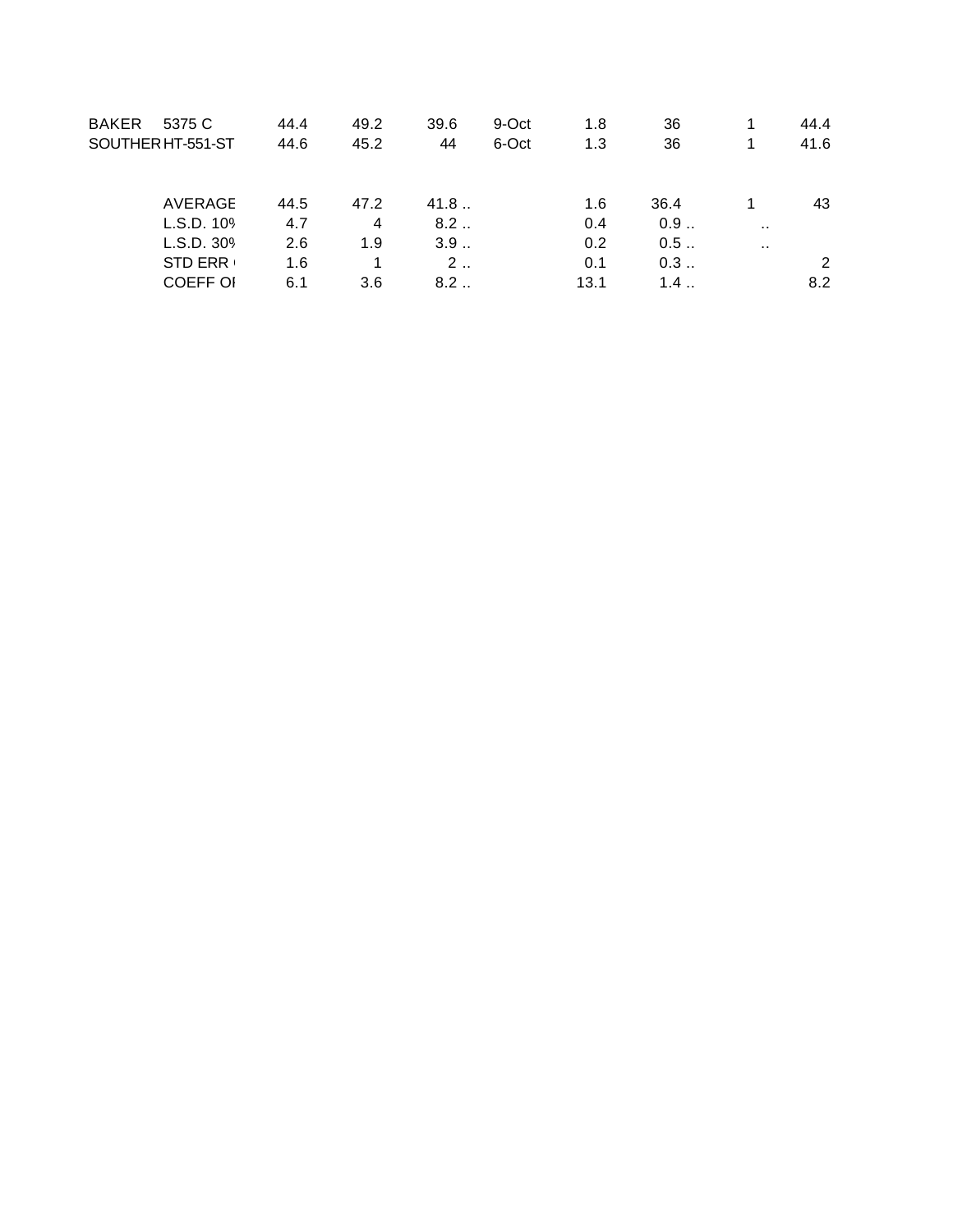| <b>BAKER</b><br>5375 C<br>SOUTHER HT-551-ST     | 44.4<br>44.6      | 49.2<br>45.2 | 39.6<br>44               | 9-Oct<br>6-Oct | 1.8<br>1.3         | 36<br>36          | 1             | 44.4<br>41.6 |
|-------------------------------------------------|-------------------|--------------|--------------------------|----------------|--------------------|-------------------|---------------|--------------|
| AVERAGE<br>L.S.D. 109                           | 44.5<br>4.7       | 47.2<br>4    | 41.8<br>8.2              |                | 1.6<br>0.4         | 36.4<br>0.9       | $\sim$ $\sim$ | 43           |
| L.S.D. 30%<br><b>STD ERR</b><br><b>COEFF OI</b> | 2.6<br>1.6<br>6.1 | 1.9<br>3.6   | 3.9<br>$2 \ldots$<br>8.2 |                | 0.2<br>0.1<br>13.1 | 0.5<br>0.3<br>1.4 | $\sim$        | 2<br>8.2     |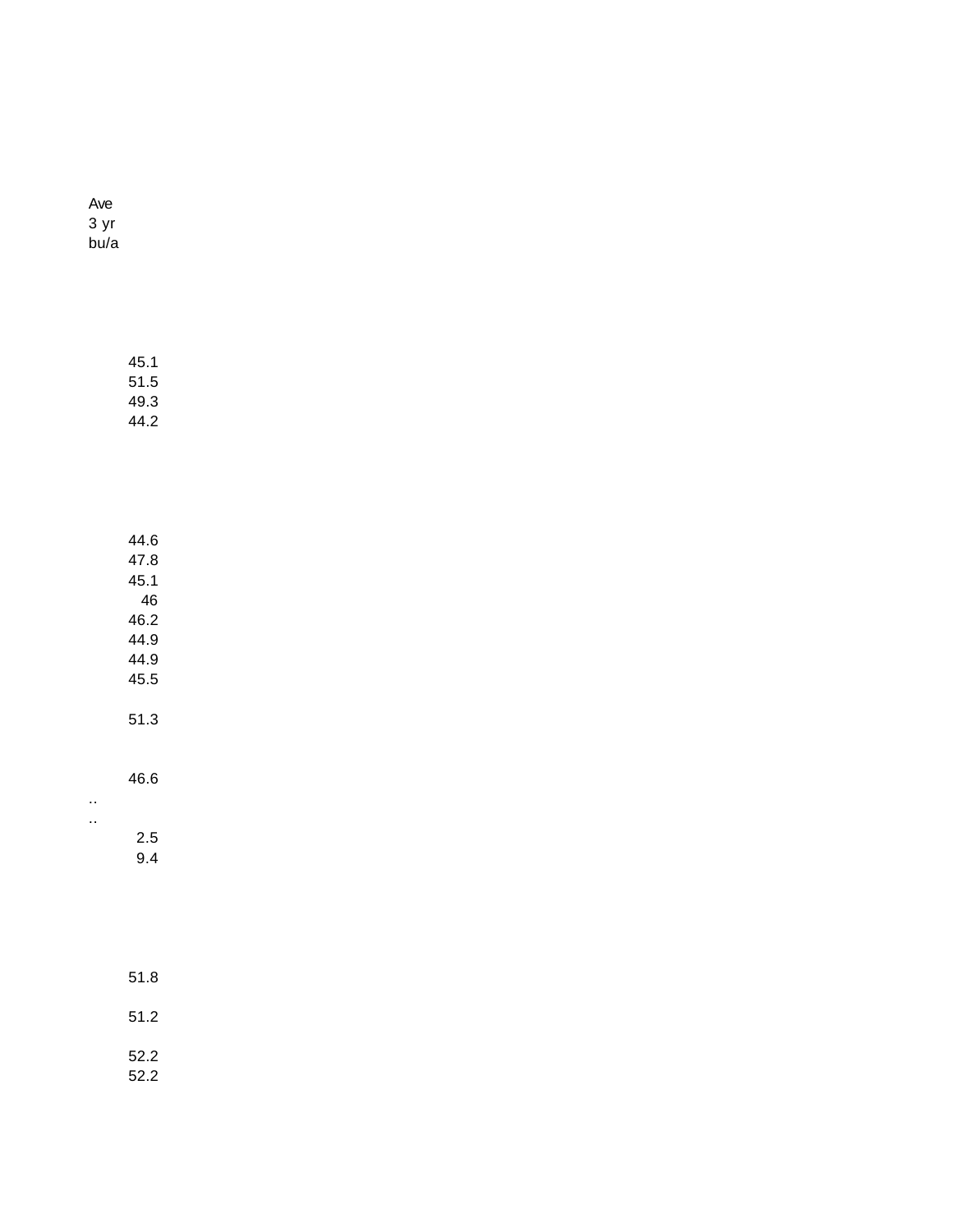| Ave  |
|------|
| 3 yr |
| bu/a |

| 51.5<br>49.3<br>44.2 |
|----------------------|
|                      |
| 44.6                 |
| 47.8                 |
| 45.1                 |
| 46                   |
| 46.2                 |
| 44.9                 |
| 44.9                 |
| 45.5                 |
| 51.3                 |

45.1

46.6

.. ..

2.5 9.4

51.8 51.2 52.2 52.2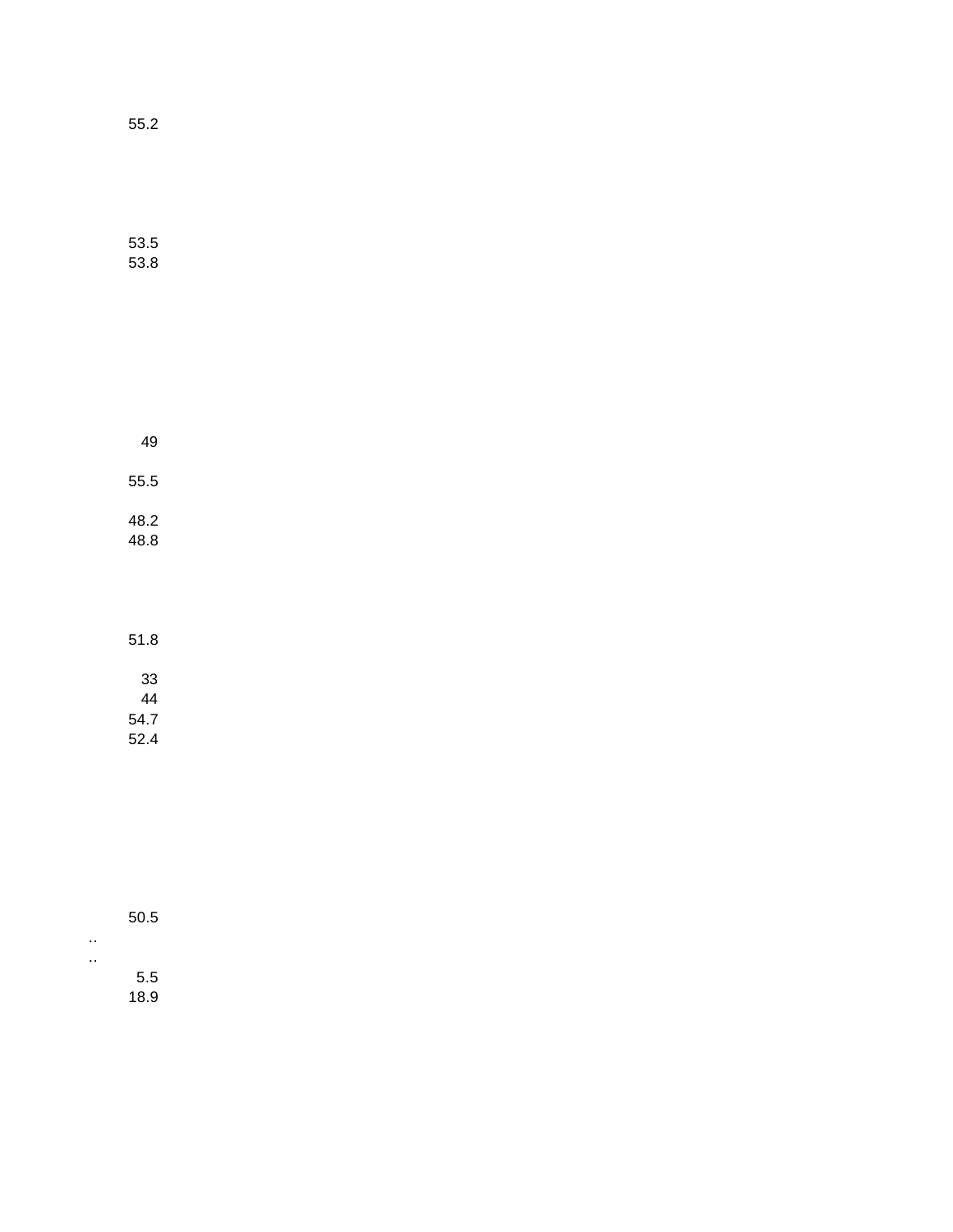55.2

53.5 53.8

| 49           |  |  |
|--------------|--|--|
| 55.5         |  |  |
| 48.2<br>48.8 |  |  |

51.8 33 44 54.7

52.4

| 50.5 |
|------|
|      |
| 5.5  |
| 18.9 |